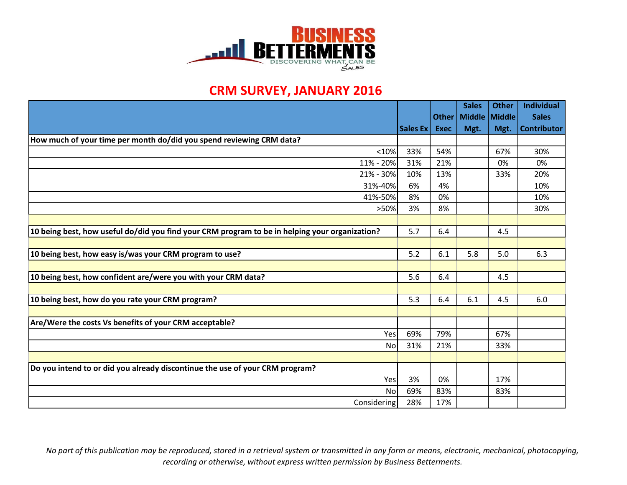

## **CRM SURVEY, JANUARY 2016**

|                                                                                                |          |              | <b>Sales</b>  | <b>Other</b> | <b>Individual</b>  |
|------------------------------------------------------------------------------------------------|----------|--------------|---------------|--------------|--------------------|
|                                                                                                |          | <b>Other</b> | Middle Middle |              | <b>Sales</b>       |
|                                                                                                | Sales Ex | <b>Exec</b>  | Mgt.          | Mgt.         | <b>Contributor</b> |
| How much of your time per month do/did you spend reviewing CRM data?                           |          |              |               |              |                    |
| < 10%                                                                                          | 33%      | 54%          |               | 67%          | 30%                |
| 11% - 20%                                                                                      | 31%      | 21%          |               | 0%           | 0%                 |
| 21% - 30%                                                                                      | 10%      | 13%          |               | 33%          | 20%                |
| 31%-40%                                                                                        | 6%       | 4%           |               |              | 10%                |
| 41%-50%                                                                                        | 8%       | 0%           |               |              | 10%                |
| >50%                                                                                           | 3%       | 8%           |               |              | 30%                |
|                                                                                                |          |              |               |              |                    |
| 10 being best, how useful do/did you find your CRM program to be in helping your organization? | 5.7      | 6.4          |               | 4.5          |                    |
|                                                                                                |          |              |               |              |                    |
| 10 being best, how easy is/was your CRM program to use?                                        | 5.2      | 6.1          | 5.8           | 5.0          | 6.3                |
|                                                                                                |          |              |               |              |                    |
| 10 being best, how confident are/were you with your CRM data?                                  | 5.6      | 6.4          |               | 4.5          |                    |
|                                                                                                |          |              |               |              |                    |
| 10 being best, how do you rate your CRM program?                                               | 5.3      | 6.4          | 6.1           | 4.5          | 6.0                |
|                                                                                                |          |              |               |              |                    |
| Are/Were the costs Vs benefits of your CRM acceptable?                                         |          |              |               |              |                    |
| Yes                                                                                            | 69%      | 79%          |               | 67%          |                    |
| No                                                                                             | 31%      | 21%          |               | 33%          |                    |
|                                                                                                |          |              |               |              |                    |
| Do you intend to or did you already discontinue the use of your CRM program?                   |          |              |               |              |                    |
| Yes                                                                                            | 3%       | 0%           |               | 17%          |                    |
| No                                                                                             | 69%      | 83%          |               | 83%          |                    |
| Considering                                                                                    | 28%      | 17%          |               |              |                    |

*No part of this publication may be reproduced, stored in a retrieval system or transmitted in any form or means, electronic, mechanical, photocopying, recording or otherwise, without express written permission by Business Betterments.*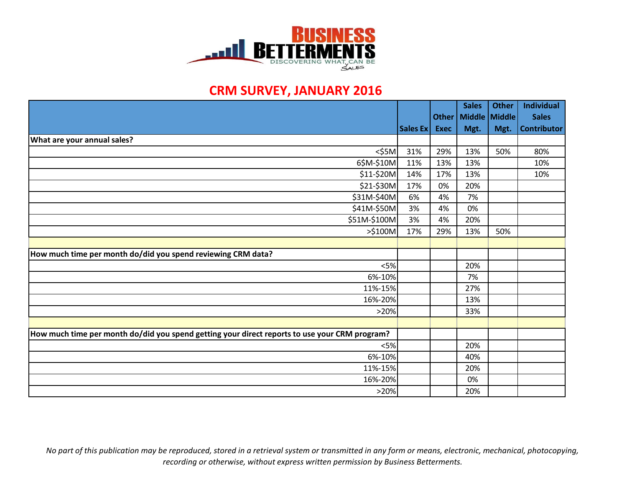

## **CRM SURVEY, JANUARY 2016**

|                                                                                               |          |             | <b>Sales</b>            | <b>Other</b> | <b>Individual</b>  |
|-----------------------------------------------------------------------------------------------|----------|-------------|-------------------------|--------------|--------------------|
|                                                                                               |          |             | Other   Middle   Middle |              | <b>Sales</b>       |
|                                                                                               | Sales Ex | <b>Exec</b> | Mgt.                    | Mgt.         | <b>Contributor</b> |
| <b>What are your annual sales?</b>                                                            |          |             |                         |              |                    |
| $<$ \$5M                                                                                      | 31%      | 29%         | 13%                     | 50%          | 80%                |
| 6\$M-\$10M                                                                                    | 11%      | 13%         | 13%                     |              | 10%                |
| \$11-\$20M                                                                                    | 14%      | 17%         | 13%                     |              | 10%                |
| \$21-\$30M                                                                                    | 17%      | 0%          | 20%                     |              |                    |
| \$31M-\$40M                                                                                   | 6%       | 4%          | 7%                      |              |                    |
| \$41M-\$50M                                                                                   | 3%       | 4%          | 0%                      |              |                    |
| \$51M-\$100M                                                                                  | 3%       | 4%          | 20%                     |              |                    |
| >\$100M                                                                                       | 17%      | 29%         | 13%                     | 50%          |                    |
|                                                                                               |          |             |                         |              |                    |
| How much time per month do/did you spend reviewing CRM data?                                  |          |             |                         |              |                    |
| $<$ 5%                                                                                        |          |             | 20%                     |              |                    |
| 6%-10%                                                                                        |          |             | 7%                      |              |                    |
| 11%-15%                                                                                       |          |             | 27%                     |              |                    |
| 16%-20%                                                                                       |          |             | 13%                     |              |                    |
| >20%                                                                                          |          |             | 33%                     |              |                    |
|                                                                                               |          |             |                         |              |                    |
| How much time per month do/did you spend getting your direct reports to use your CRM program? |          |             |                         |              |                    |
| $<$ 5%                                                                                        |          |             | 20%                     |              |                    |
| 6%-10%                                                                                        |          |             | 40%                     |              |                    |
| 11%-15%                                                                                       |          |             | 20%                     |              |                    |
| 16%-20%                                                                                       |          |             | 0%                      |              |                    |
| >20%                                                                                          |          |             | 20%                     |              |                    |

*No part of this publication may be reproduced, stored in a retrieval system or transmitted in any form or means, electronic, mechanical, photocopying, recording or otherwise, without express written permission by Business Betterments.*